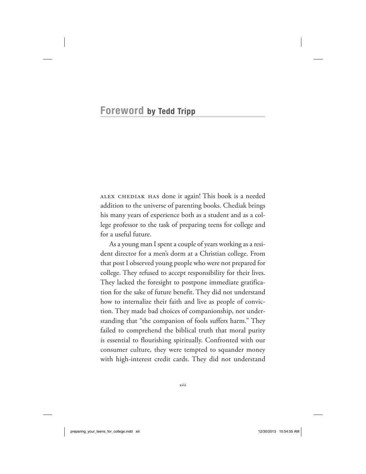## **Foreword by Tedd Tripp**

alex chediak has done it again! This book is a needed addition to the universe of parenting books. Chediak brings his many years of experience both as a student and as a college professor to the task of preparing teens for college and for a useful future.

As a young man I spent a couple of years working as a resident director for a men's dorm at a Christian college. From that post I observed young people who were not prepared for college. They refused to accept responsibility for their lives. They lacked the foresight to postpone immediate gratification for the sake of future benefit. They did not understand how to internalize their faith and live as people of conviction. They made bad choices of companionship, not understanding that "the companion of fools suffers harm." They failed to comprehend the biblical truth that moral purity is essential to flourishing spiritually. Confronted with our consumer culture, they were tempted to squander money with high-interest credit cards. They did not understand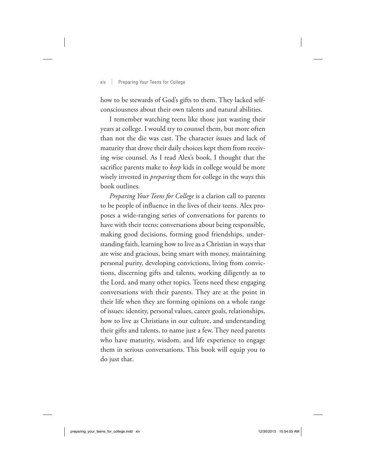## xiv | Preparing Your Teens for College

how to be stewards of God's gifts to them. They lacked selfconsciousness about their own talents and natural abilities.

I remember watching teens like those just wasting their years at college. I would try to counsel them, but more often than not the die was cast. The character issues and lack of maturity that drove their daily choices kept them from receiving wise counsel. As I read Alex's book, I thought that the sacrifice parents make to *keep* kids in college would be more wisely invested in *preparing* them for college in the ways this book outlines.

*Preparing Your Teens for College* is a clarion call to parents to be people of influence in the lives of their teens. Alex proposes a wide-ranging series of conversations for parents to have with their teens: conversations about being responsible, making good decisions, forming good friendships, understanding faith, learning how to live as a Christian in ways that are wise and gracious, being smart with money, maintaining personal purity, developing convictions, living from convictions, discerning gifts and talents, working diligently as to the Lord, and many other topics. Teens need these engaging conversations with their parents. They are at the point in their life when they are forming opinions on a whole range of issues: identity, personal values, career goals, relationships, how to live as Christians in our culture, and understanding their gifts and talents, to name just a few. They need parents who have maturity, wisdom, and life experience to engage them in serious conversations. This book will equip you to do just that.